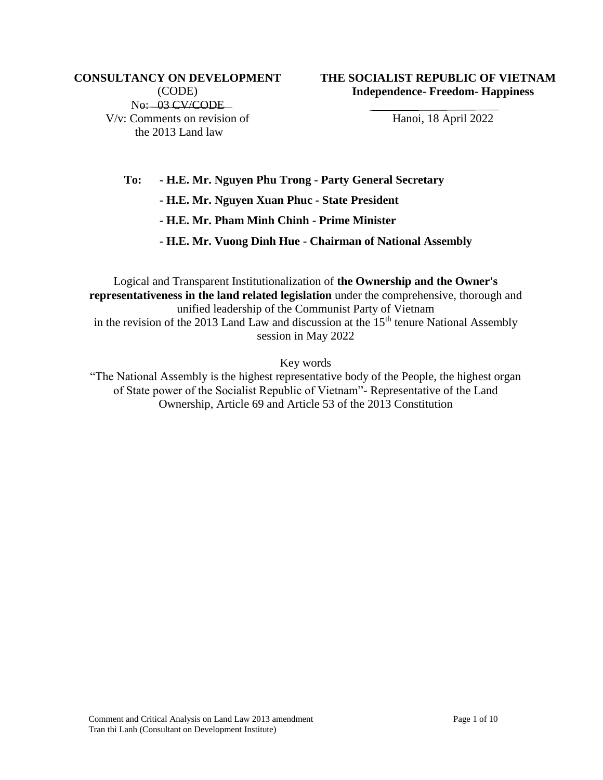Hanoi, 18 April 2022

**To: - H.E. Mr. Nguyen Phu Trong - Party General Secretary** 

- **- H.E. Mr. Nguyen Xuan Phuc - State President**
- **- H.E. Mr. Pham Minh Chinh - Prime Minister**
- **- H.E. Mr. Vuong Dinh Hue - Chairman of National Assembly**

Logical and Transparent Institutionalization of **the Ownership and the Owner's representativeness in the land related legislation** under the comprehensive, thorough and unified leadership of the Communist Party of Vietnam in the revision of the 2013 Land Law and discussion at the  $15<sup>th</sup>$  tenure National Assembly session in May 2022

Key words

"The National Assembly is the highest representative body of the People, the highest organ of State power of the Socialist Republic of Vietnam"- Representative of the Land Ownership, Article 69 and Article 53 of the 2013 Constitution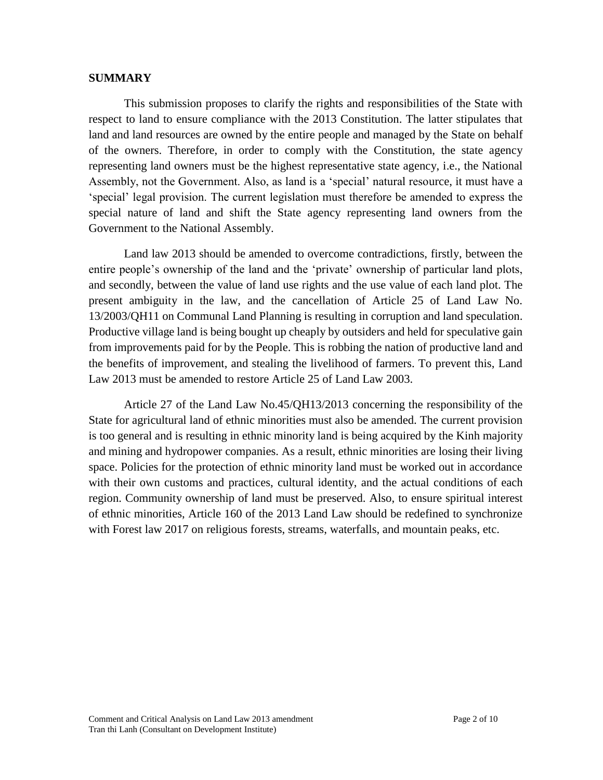#### **SUMMARY**

This submission proposes to clarify the rights and responsibilities of the State with respect to land to ensure compliance with the 2013 Constitution. The latter stipulates that land and land resources are owned by the entire people and managed by the State on behalf of the owners. Therefore, in order to comply with the Constitution, the state agency representing land owners must be the highest representative state agency, i.e., the National Assembly, not the Government. Also, as land is a 'special' natural resource, it must have a 'special' legal provision. The current legislation must therefore be amended to express the special nature of land and shift the State agency representing land owners from the Government to the National Assembly.

Land law 2013 should be amended to overcome contradictions, firstly, between the entire people's ownership of the land and the 'private' ownership of particular land plots, and secondly, between the value of land use rights and the use value of each land plot. The present ambiguity in the law, and the cancellation of Article 25 of Land Law No. 13/2003/QH11 on Communal Land Planning is resulting in corruption and land speculation. Productive village land is being bought up cheaply by outsiders and held for speculative gain from improvements paid for by the People. This is robbing the nation of productive land and the benefits of improvement, and stealing the livelihood of farmers. To prevent this, Land Law 2013 must be amended to restore Article 25 of Land Law 2003.

Article 27 of the Land Law No.45/QH13/2013 concerning the responsibility of the State for agricultural land of ethnic minorities must also be amended. The current provision is too general and is resulting in ethnic minority land is being acquired by the Kinh majority and mining and hydropower companies. As a result, ethnic minorities are losing their living space. Policies for the protection of ethnic minority land must be worked out in accordance with their own customs and practices, cultural identity, and the actual conditions of each region. Community ownership of land must be preserved. Also, to ensure spiritual interest of ethnic minorities, Article 160 of the 2013 Land Law should be redefined to synchronize with Forest law 2017 on religious forests, streams, waterfalls, and mountain peaks, etc.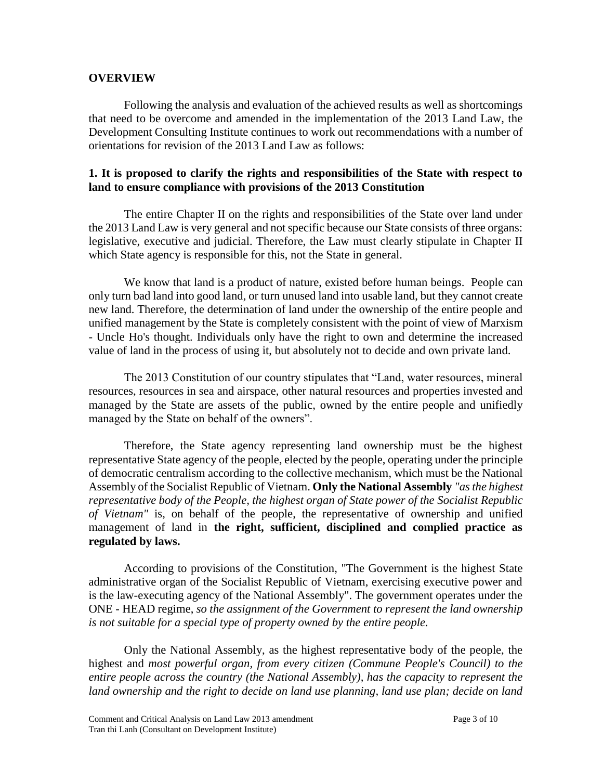#### **OVERVIEW**

Following the analysis and evaluation of the achieved results as well as shortcomings that need to be overcome and amended in the implementation of the 2013 Land Law, the Development Consulting Institute continues to work out recommendations with a number of orientations for revision of the 2013 Land Law as follows:

### **1. It is proposed to clarify the rights and responsibilities of the State with respect to land to ensure compliance with provisions of the 2013 Constitution**

The entire Chapter II on the rights and responsibilities of the State over land under the 2013 Land Law is very general and not specific because our State consists of three organs: legislative, executive and judicial. Therefore, the Law must clearly stipulate in Chapter II which State agency is responsible for this, not the State in general.

We know that land is a product of nature, existed before human beings. People can only turn bad land into good land, or turn unused land into usable land, but they cannot create new land. Therefore, the determination of land under the ownership of the entire people and unified management by the State is completely consistent with the point of view of Marxism - Uncle Ho's thought. Individuals only have the right to own and determine the increased value of land in the process of using it, but absolutely not to decide and own private land.

The 2013 Constitution of our country stipulates that "Land, water resources, mineral resources, resources in sea and airspace, other natural resources and properties invested and managed by the State are assets of the public, owned by the entire people and unifiedly managed by the State on behalf of the owners".

Therefore, the State agency representing land ownership must be the highest representative State agency of the people, elected by the people, operating under the principle of democratic centralism according to the collective mechanism, which must be the National Assembly of the Socialist Republic of Vietnam. **Only the National Assembly** *"as the highest representative body of the People, the highest organ of State power of the Socialist Republic of Vietnam"* is, on behalf of the people, the representative of ownership and unified management of land in **the right, sufficient, disciplined and complied practice as regulated by laws.**

According to provisions of the Constitution, "The Government is the highest State administrative organ of the Socialist Republic of Vietnam, exercising executive power and is the law-executing agency of the National Assembly". The government operates under the ONE - HEAD regime, *so the assignment of the Government to represent the land ownership is not suitable for a special type of property owned by the entire people.*

Only the National Assembly, as the highest representative body of the people, the highest and *most powerful organ, from every citizen (Commune People's Council) to the entire people across the country (the National Assembly), has the capacity to represent the land ownership and the right to decide on land use planning, land use plan; decide on land*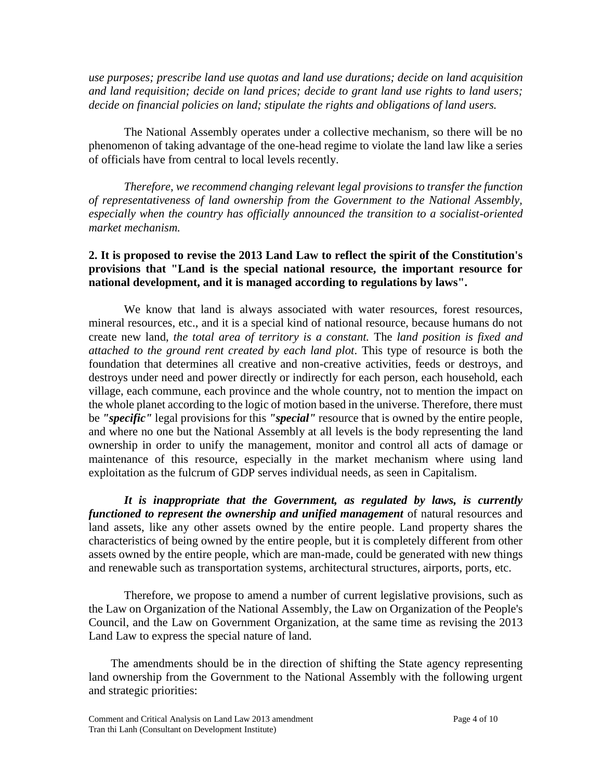*use purposes; prescribe land use quotas and land use durations; decide on land acquisition and land requisition; decide on land prices; decide to grant land use rights to land users; decide on financial policies on land; stipulate the rights and obligations of land users.*

The National Assembly operates under a collective mechanism, so there will be no phenomenon of taking advantage of the one-head regime to violate the land law like a series of officials have from central to local levels recently.

*Therefore, we recommend changing relevant legal provisions to transfer the function of representativeness of land ownership from the Government to the National Assembly, especially when the country has officially announced the transition to a socialist-oriented market mechanism.*

## **2. It is proposed to revise the 2013 Land Law to reflect the spirit of the Constitution's provisions that "Land is the special national resource, the important resource for national development, and it is managed according to regulations by laws".**

We know that land is always associated with water resources, forest resources, mineral resources, etc., and it is a special kind of national resource, because humans do not create new land, *the total area of territory is a constant.* The *land position is fixed and attached to the ground rent created by each land plot*. This type of resource is both the foundation that determines all creative and non-creative activities, feeds or destroys, and destroys under need and power directly or indirectly for each person, each household, each village, each commune, each province and the whole country, not to mention the impact on the whole planet according to the logic of motion based in the universe. Therefore, there must be *"specific"* legal provisions for this *"special"* resource that is owned by the entire people, and where no one but the National Assembly at all levels is the body representing the land ownership in order to unify the management, monitor and control all acts of damage or maintenance of this resource, especially in the market mechanism where using land exploitation as the fulcrum of GDP serves individual needs, as seen in Capitalism.

*It is inappropriate that the Government, as regulated by laws, is currently functioned to represent the ownership and unified management* of natural resources and land assets, like any other assets owned by the entire people. Land property shares the characteristics of being owned by the entire people, but it is completely different from other assets owned by the entire people, which are man-made, could be generated with new things and renewable such as transportation systems, architectural structures, airports, ports, etc.

Therefore, we propose to amend a number of current legislative provisions, such as the Law on Organization of the National Assembly, the Law on Organization of the People's Council, and the Law on Government Organization, at the same time as revising the 2013 Land Law to express the special nature of land.

The amendments should be in the direction of shifting the State agency representing land ownership from the Government to the National Assembly with the following urgent and strategic priorities: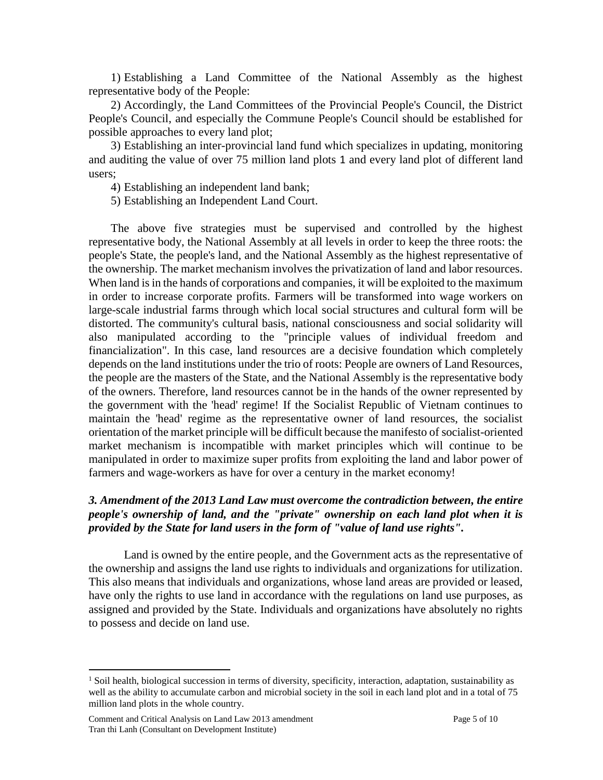1) Establishing a Land Committee of the National Assembly as the highest representative body of the People:

2) Accordingly, the Land Committees of the Provincial People's Council, the District People's Council, and especially the Commune People's Council should be established for possible approaches to every land plot;

3) Establishing an inter-provincial land fund which specializes in updating, monitoring and auditing the value of over 75 million land plots 1 and every land plot of different land users;

4) Establishing an independent land bank;

5) Establishing an Independent Land Court.

The above five strategies must be supervised and controlled by the highest representative body, the National Assembly at all levels in order to keep the three roots: the people's State, the people's land, and the National Assembly as the highest representative of the ownership. The market mechanism involves the privatization of land and labor resources. When land is in the hands of corporations and companies, it will be exploited to the maximum in order to increase corporate profits. Farmers will be transformed into wage workers on large-scale industrial farms through which local social structures and cultural form will be distorted. The community's cultural basis, national consciousness and social solidarity will also manipulated according to the "principle values of individual freedom and financialization". In this case, land resources are a decisive foundation which completely depends on the land institutions under the trio of roots: People are owners of Land Resources, the people are the masters of the State, and the National Assembly is the representative body of the owners. Therefore, land resources cannot be in the hands of the owner represented by the government with the 'head' regime! If the Socialist Republic of Vietnam continues to maintain the 'head' regime as the representative owner of land resources, the socialist orientation of the market principle will be difficult because the manifesto of socialist-oriented market mechanism is incompatible with market principles which will continue to be manipulated in order to maximize super profits from exploiting the land and labor power of farmers and wage-workers as have for over a century in the market economy!

## *3. Amendment of the 2013 Land Law must overcome the contradiction between, the entire people's ownership of land, and the "private" ownership on each land plot when it is provided by the State for land users in the form of "value of land use rights".*

Land is owned by the entire people, and the Government acts as the representative of the ownership and assigns the land use rights to individuals and organizations for utilization. This also means that individuals and organizations, whose land areas are provided or leased, have only the rights to use land in accordance with the regulations on land use purposes, as assigned and provided by the State. Individuals and organizations have absolutely no rights to possess and decide on land use.

 $\overline{\phantom{a}}$ 

<sup>&</sup>lt;sup>1</sup> Soil health, biological succession in terms of diversity, specificity, interaction, adaptation, sustainability as well as the ability to accumulate carbon and microbial society in the soil in each land plot and in a total of 75 million land plots in the whole country.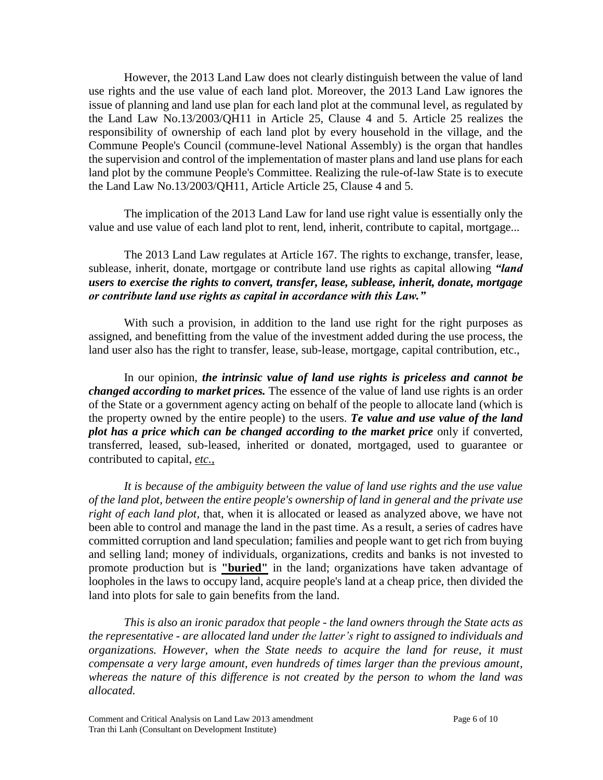However, the 2013 Land Law does not clearly distinguish between the value of land use rights and the use value of each land plot. Moreover, the 2013 Land Law ignores the issue of planning and land use plan for each land plot at the communal level, as regulated by the Land Law No.13/2003/QH11 in Article 25, Clause 4 and 5. Article 25 realizes the responsibility of ownership of each land plot by every household in the village, and the Commune People's Council (commune-level National Assembly) is the organ that handles the supervision and control of the implementation of master plans and land use plans for each land plot by the commune People's Committee. Realizing the rule-of-law State is to execute the Land Law No.13/2003/QH11, Article Article 25, Clause 4 and 5.

The implication of the 2013 Land Law for land use right value is essentially only the value and use value of each land plot to rent, lend, inherit, contribute to capital, mortgage...

The 2013 Land Law regulates at Article 167. The rights to exchange, transfer, lease, sublease, inherit, donate, mortgage or contribute land use rights as capital allowing *"land users to exercise the rights to convert, transfer, lease, sublease, inherit, donate, mortgage or contribute land use rights as capital in accordance with this Law."*

With such a provision, in addition to the land use right for the right purposes as assigned, and benefitting from the value of the investment added during the use process, the land user also has the right to transfer, lease, sub-lease, mortgage, capital contribution, etc.,

In our opinion, *the intrinsic value of land use rights is priceless and cannot be changed according to market prices.* The essence of the value of land use rights is an order of the State or a government agency acting on behalf of the people to allocate land (which is the property owned by the entire people) to the users. *Te value and use value of the land plot has a price which can be changed according to the market price* only if converted, transferred, leased, sub-leased, inherited or donated, mortgaged, used to guarantee or contributed to capital, *etc.,* 

*It is because of the ambiguity between the value of land use rights and the use value of the land plot, between the entire people's ownership of land in general and the private use right of each land plot,* that, when it is allocated or leased as analyzed above, we have not been able to control and manage the land in the past time. As a result, a series of cadres have committed corruption and land speculation; families and people want to get rich from buying and selling land; money of individuals, organizations, credits and banks is not invested to promote production but is **"buried"** in the land; organizations have taken advantage of loopholes in the laws to occupy land, acquire people's land at a cheap price, then divided the land into plots for sale to gain benefits from the land.

*This is also an ironic paradox that people - the land owners through the State acts as the representative - are allocated land under the latter's right to assigned to individuals and organizations. However, when the State needs to acquire the land for reuse, it must compensate a very large amount, even hundreds of times larger than the previous amount, whereas the nature of this difference is not created by the person to whom the land was allocated.*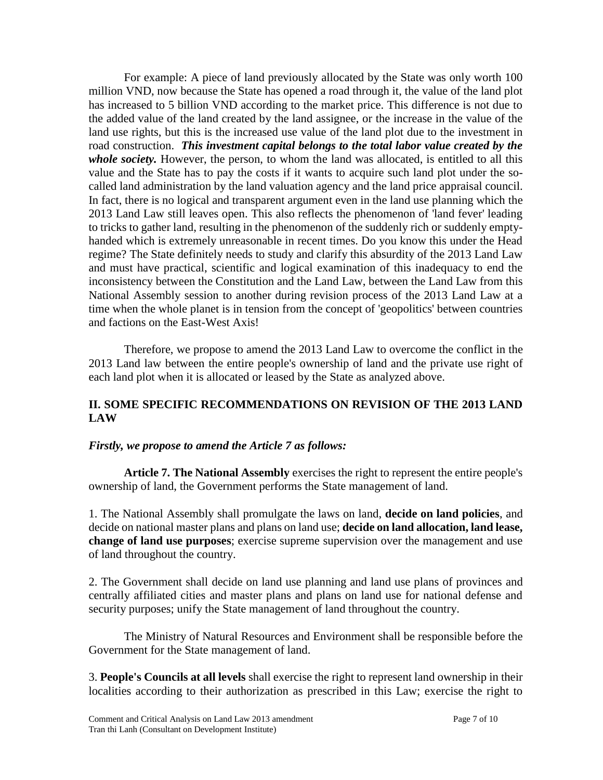For example: A piece of land previously allocated by the State was only worth 100 million VND, now because the State has opened a road through it, the value of the land plot has increased to 5 billion VND according to the market price. This difference is not due to the added value of the land created by the land assignee, or the increase in the value of the land use rights, but this is the increased use value of the land plot due to the investment in road construction. *This investment capital belongs to the total labor value created by the whole society.* However, the person, to whom the land was allocated, is entitled to all this value and the State has to pay the costs if it wants to acquire such land plot under the socalled land administration by the land valuation agency and the land price appraisal council. In fact, there is no logical and transparent argument even in the land use planning which the 2013 Land Law still leaves open. This also reflects the phenomenon of 'land fever' leading to tricks to gather land, resulting in the phenomenon of the suddenly rich or suddenly emptyhanded which is extremely unreasonable in recent times. Do you know this under the Head regime? The State definitely needs to study and clarify this absurdity of the 2013 Land Law and must have practical, scientific and logical examination of this inadequacy to end the inconsistency between the Constitution and the Land Law, between the Land Law from this National Assembly session to another during revision process of the 2013 Land Law at a time when the whole planet is in tension from the concept of 'geopolitics' between countries and factions on the East-West Axis!

Therefore, we propose to amend the 2013 Land Law to overcome the conflict in the 2013 Land law between the entire people's ownership of land and the private use right of each land plot when it is allocated or leased by the State as analyzed above.

## **II. SOME SPECIFIC RECOMMENDATIONS ON REVISION OF THE 2013 LAND LAW**

### *Firstly, we propose to amend the Article 7 as follows:*

**Article 7. The National Assembly** exercises the right to represent the entire people's ownership of land, the Government performs the State management of land.

1. The National Assembly shall promulgate the laws on land, **decide on land policies**, and decide on national master plans and plans on land use; **decide on land allocation, land lease, change of land use purposes**; exercise supreme supervision over the management and use of land throughout the country.

2. The Government shall decide on land use planning and land use plans of provinces and centrally affiliated cities and master plans and plans on land use for national defense and security purposes; unify the State management of land throughout the country.

The Ministry of Natural Resources and Environment shall be responsible before the Government for the State management of land.

3. **People's Councils at all levels** shall exercise the right to represent land ownership in their localities according to their authorization as prescribed in this Law; exercise the right to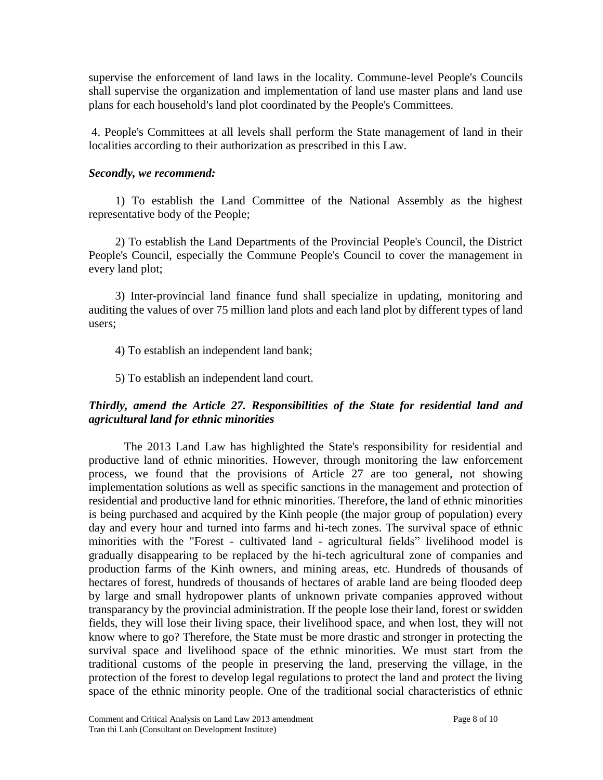supervise the enforcement of land laws in the locality. Commune-level People's Councils shall supervise the organization and implementation of land use master plans and land use plans for each household's land plot coordinated by the People's Committees.

4. People's Committees at all levels shall perform the State management of land in their localities according to their authorization as prescribed in this Law.

## *Secondly, we recommend:*

1) To establish the Land Committee of the National Assembly as the highest representative body of the People;

2) To establish the Land Departments of the Provincial People's Council, the District People's Council, especially the Commune People's Council to cover the management in every land plot;

3) Inter-provincial land finance fund shall specialize in updating, monitoring and auditing the values of over 75 million land plots and each land plot by different types of land users;

- 4) To establish an independent land bank;
- 5) To establish an independent land court.

# *Thirdly, amend the Article 27. Responsibilities of the State for residential land and agricultural land for ethnic minorities*

The 2013 Land Law has highlighted the State's responsibility for residential and productive land of ethnic minorities. However, through monitoring the law enforcement process, we found that the provisions of Article 27 are too general, not showing implementation solutions as well as specific sanctions in the management and protection of residential and productive land for ethnic minorities. Therefore, the land of ethnic minorities is being purchased and acquired by the Kinh people (the major group of population) every day and every hour and turned into farms and hi-tech zones. The survival space of ethnic minorities with the "Forest - cultivated land - agricultural fields" livelihood model is gradually disappearing to be replaced by the hi-tech agricultural zone of companies and production farms of the Kinh owners, and mining areas, etc. Hundreds of thousands of hectares of forest, hundreds of thousands of hectares of arable land are being flooded deep by large and small hydropower plants of unknown private companies approved without transparancy by the provincial administration. If the people lose their land, forest or swidden fields, they will lose their living space, their livelihood space, and when lost, they will not know where to go? Therefore, the State must be more drastic and stronger in protecting the survival space and livelihood space of the ethnic minorities. We must start from the traditional customs of the people in preserving the land, preserving the village, in the protection of the forest to develop legal regulations to protect the land and protect the living space of the ethnic minority people. One of the traditional social characteristics of ethnic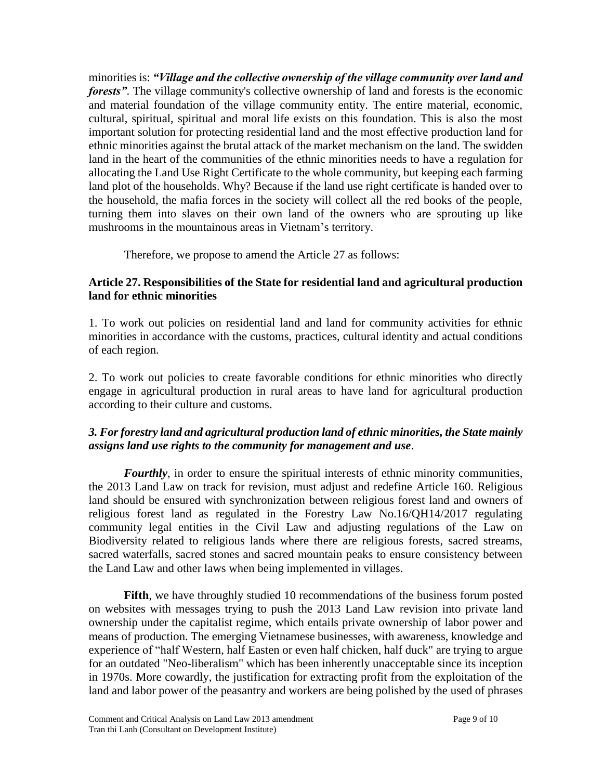minorities is: *"Village and the collective ownership of the village community over land and forests*". The village community's collective ownership of land and forests is the economic and material foundation of the village community entity. The entire material, economic, cultural, spiritual, spiritual and moral life exists on this foundation. This is also the most important solution for protecting residential land and the most effective production land for ethnic minorities against the brutal attack of the market mechanism on the land. The swidden land in the heart of the communities of the ethnic minorities needs to have a regulation for allocating the Land Use Right Certificate to the whole community, but keeping each farming land plot of the households. Why? Because if the land use right certificate is handed over to the household, the mafia forces in the society will collect all the red books of the people, turning them into slaves on their own land of the owners who are sprouting up like mushrooms in the mountainous areas in Vietnam's territory.

Therefore, we propose to amend the Article 27 as follows:

# **Article 27. Responsibilities of the State for residential land and agricultural production land for ethnic minorities**

1. To work out policies on residential land and land for community activities for ethnic minorities in accordance with the customs, practices, cultural identity and actual conditions of each region.

2. To work out policies to create favorable conditions for ethnic minorities who directly engage in agricultural production in rural areas to have land for agricultural production according to their culture and customs.

# *3. For forestry land and agricultural production land of ethnic minorities, the State mainly assigns land use rights to the community for management and use*.

*Fourthly*, in order to ensure the spiritual interests of ethnic minority communities, the 2013 Land Law on track for revision, must adjust and redefine Article 160. Religious land should be ensured with synchronization between religious forest land and owners of religious forest land as regulated in the Forestry Law No.16/QH14/2017 regulating community legal entities in the Civil Law and adjusting regulations of the Law on Biodiversity related to religious lands where there are religious forests, sacred streams, sacred waterfalls, sacred stones and sacred mountain peaks to ensure consistency between the Land Law and other laws when being implemented in villages.

**Fifth**, we have throughly studied 10 recommendations of the business forum posted on websites with messages trying to push the 2013 Land Law revision into private land ownership under the capitalist regime, which entails private ownership of labor power and means of production. The emerging Vietnamese businesses, with awareness, knowledge and experience of "half Western, half Easten or even half chicken, half duck" are trying to argue for an outdated "Neo-liberalism" which has been inherently unacceptable since its inception in 1970s. More cowardly, the justification for extracting profit from the exploitation of the land and labor power of the peasantry and workers are being polished by the used of phrases